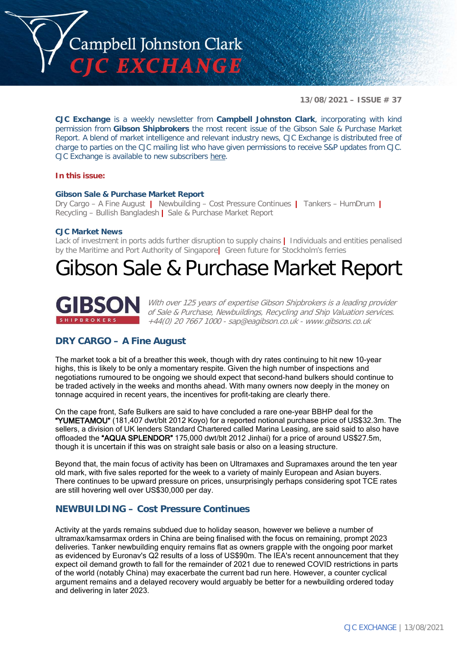

**13/08/2021 – ISSUE # 37**

**CJC Exchange** is a weekly newsletter from **Campbell Johnston Clark**, incorporating with kind permission from **Gibson Shipbrokers** the most recent issue of the Gibson Sale & Purchase Market Report. A blend of market intelligence and relevant industry news, CJC Exchange is distributed free of charge to parties on the CJC mailing list who have given permissions to receive S&P updates from CJC. CJC Exchange is available to new subscribers [here.](mailto:jamesc@cjclaw.com?subject=CJC%20Exchange%20sign-up)

#### **In this issue:**

#### **Gibson Sale & Purchase Market Report**

Dry Cargo – A Fine August **|** Newbuilding – Cost Pressure Continues **|** Tankers – HumDrum **|** Recycling – Bullish Bangladesh **|** Sale & Purchase Market Report

#### **CJC Market News**

Lack of investment in ports adds further disruption to supply chains **|** Individuals and entities penalised by the Maritime and Port Authority of Singapore**|** Green future for Stockholm's ferries

# Gibson Sale & Purchase Market Report



With over 125 years of expertise Gibson Shipbrokers is a leading provider of Sale & Purchase, Newbuildings, Recycling and Ship Valuation services. +44(0) 20 7667 1000 - [sap@eagibson.co.uk](mailto:sap@eagibson.co.uk) - [www.gibsons.co.uk](https://protect-eu.mimecast.com/s/VO6nCGZzRS60KqcK1jQh/)

#### **DRY CARGO – A Fine August**

The market took a bit of a breather this week, though with dry rates continuing to hit new 10-year highs, this is likely to be only a momentary respite. Given the high number of inspections and negotiations rumoured to be ongoing we should expect that second-hand bulkers should continue to be traded actively in the weeks and months ahead. With many owners now deeply in the money on tonnage acquired in recent years, the incentives for profit-taking are clearly there.

On the cape front, Safe Bulkers are said to have concluded a rare one-year BBHP deal for the "YUMETAMOU" (181,407 dwt/blt 2012 Koyo) for a reported notional purchase price of US\$32.3m. The sellers, a division of UK lenders Standard Chartered called Marina Leasing, are said said to also have offloaded the "AQUA SPLENDOR" 175,000 dwt/blt 2012 Jinhai) for a price of around US\$27.5m, though it is uncertain if this was on straight sale basis or also on a leasing structure.

Beyond that, the main focus of activity has been on Ultramaxes and Supramaxes around the ten year old mark, with five sales reported for the week to a variety of mainly European and Asian buyers. There continues to be upward pressure on prices, unsurprisingly perhaps considering spot TCE rates are still hovering well over US\$30,000 per day.

#### **NEWBUILDING – Cost Pressure Continues**

Activity at the yards remains subdued due to holiday season, however we believe a number of ultramax/kamsarmax orders in China are being finalised with the focus on remaining, prompt 2023 deliveries. Tanker newbuilding enquiry remains flat as owners grapple with the ongoing poor market as evidenced by Euronav's Q2 results of a loss of US\$90m. The IEA's recent announcement that they expect oil demand growth to fall for the remainder of 2021 due to renewed COVID restrictions in parts of the world (notably China) may exacerbate the current bad run here. However, a counter cyclical argument remains and a delayed recovery would arguably be better for a newbuilding ordered today and delivering in later 2023.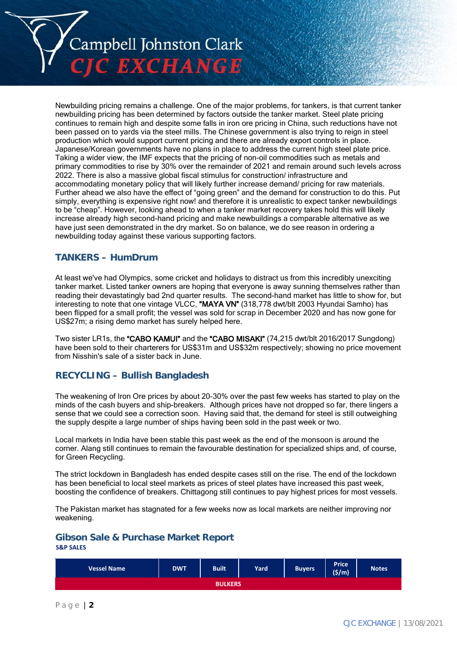

Newbuilding pricing remains a challenge. One of the major problems, for tankers, is that current tanker newbuilding pricing has been determined by factors outside the tanker market. Steel plate pricing continues to remain high and despite some falls in iron ore pricing in China, such reductions have not been passed on to yards via the steel mills. The Chinese government is also trying to reign in steel production which would support current pricing and there are already export controls in place. Japanese/Korean governments have no plans in place to address the current high steel plate price. Taking a wider view, the IMF expects that the pricing of non-oil commodities such as metals and primary commodities to rise by 30% over the remainder of 2021 and remain around such levels across 2022. There is also a massive global fiscal stimulus for construction/ infrastructure and accommodating monetary policy that will likely further increase demand/ pricing for raw materials. Further ahead we also have the effect of "going green" and the demand for construction to do this. Put simply, everything is expensive right now! and therefore it is unrealistic to expect tanker newbuildings to be "cheap". However, looking ahead to when a tanker market recovery takes hold this will likely increase already high second-hand pricing and make newbuildings a comparable alternative as we have just seen demonstrated in the dry market. So on balance, we do see reason in ordering a newbuilding today against these various supporting factors.

### **TANKERS – HumDrum**

At least we've had Olympics, some cricket and holidays to distract us from this incredibly unexciting tanker market. Listed tanker owners are hoping that everyone is away sunning themselves rather than reading their devastatingly bad 2nd quarter results. The second-hand market has little to show for, but interesting to note that one vintage VLCC, "MAYA VN" (318,778 dwt/blt 2003 Hyundai Samho) has been flipped for a small profit; the vessel was sold for scrap in December 2020 and has now gone for US\$27m; a rising demo market has surely helped here.

Two sister LR1s, the "CABO KAMUI" and the "CABO MISAKI" (74,215 dwt/blt 2016/2017 Sungdong) have been sold to their charterers for US\$31m and US\$32m respectively; showing no price movement from Nisshin's sale of a sister back in June.

## **RECYCLING – Bullish Bangladesh**

The weakening of Iron Ore prices by about 20-30% over the past few weeks has started to play on the minds of the cash buyers and ship-breakers. Although prices have not dropped so far, there lingers a sense that we could see a correction soon. Having said that, the demand for steel is still outweighing the supply despite a large number of ships having been sold in the past week or two.

Local markets in India have been stable this past week as the end of the monsoon is around the corner. Alang still continues to remain the favourable destination for specialized ships and, of course, for Green Recycling.

The strict lockdown in Bangladesh has ended despite cases still on the rise. The end of the lockdown has been beneficial to local steel markets as prices of steel plates have increased this past week, boosting the confidence of breakers. Chittagong still continues to pay highest prices for most vessels.

The Pakistan market has stagnated for a few weeks now as local markets are neither improving nor weakening.

#### **Gibson Sale & Purchase Market Report S&P SALES**

| <b>Vessel Name</b> | <b>DWT</b> | <b>Built</b> | Yard | <b>Buyers</b> | <b>Price</b><br>$(\frac{\epsilon}{m})$ | <b>Notes</b> |
|--------------------|------------|--------------|------|---------------|----------------------------------------|--------------|
| <b>BULKERS</b>     |            |              |      |               |                                        |              |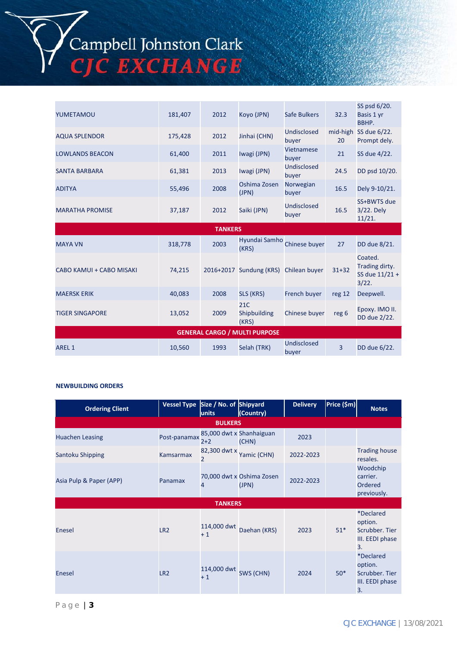# Campbell Johnston Clark<br>CJC EXCHANGE

| YUMETAMOU                            | 181,407 | 2012           | Koyo (JPN)                            | Safe Bulkers                | 32.3           | SS psd 6/20.<br>Basis 1 yr<br>BBHP.                  |
|--------------------------------------|---------|----------------|---------------------------------------|-----------------------------|----------------|------------------------------------------------------|
| <b>AQUA SPLENDOR</b>                 | 175,428 | 2012           | Jinhai (CHN)                          | <b>Undisclosed</b><br>buyer | 20             | mid-high SS due 6/22.<br>Prompt dely.                |
| <b>LOWLANDS BEACON</b>               | 61,400  | 2011           | Iwagi (JPN)                           | Vietnamese<br>buyer         | 21             | SS due 4/22.                                         |
| <b>SANTA BARBARA</b>                 | 61,381  | 2013           | Iwagi (JPN)                           | Undisclosed<br>buyer        | 24.5           | DD psd 10/20.                                        |
| <b>ADITYA</b>                        | 55,496  | 2008           | Oshima Zosen<br>(JPN)                 | Norwegian<br>buyer          | 16.5           | Dely 9-10/21.                                        |
| <b>MARATHA PROMISE</b>               | 37,187  | 2012           | Saiki (JPN)                           | Undisclosed<br>buyer        | 16.5           | SS+BWTS due<br>3/22. Dely<br>11/21.                  |
|                                      |         | <b>TANKERS</b> |                                       |                             |                |                                                      |
| <b>MAYA VN</b>                       | 318,778 | 2003           | Hyundai Samho<br>(KRS)                | Chinese buyer               | 27             | DD due 8/21.                                         |
| CABO KAMUI + CABO MISAKI             | 74,215  |                | 2016+2017 Sundung (KRS) Chilean buyer |                             | $31 + 32$      | Coated.<br>Trading dirty.<br>SS due 11/21 +<br>3/22. |
| <b>MAERSK ERIK</b>                   | 40,083  | 2008           | <b>SLS (KRS)</b>                      | French buyer                | reg 12         | Deepwell.                                            |
| <b>TIGER SINGAPORE</b>               | 13,052  | 2009           | 21C<br>Shipbuilding<br>(KRS)          | Chinese buyer               | reg 6          | Epoxy. IMO II.<br>DD due 2/22.                       |
| <b>GENERAL CARGO / MULTI PURPOSE</b> |         |                |                                       |                             |                |                                                      |
| AREL 1                               | 10,560  | 1993           | Selah (TRK)                           | Undisclosed<br>buyer        | $\overline{3}$ | DD due 6/22.                                         |

#### **NEWBUILDING ORDERS**

| <b>Ordering Client</b>  | <b>Vessel Type</b> | Size / No. of Shipyard<br>units | (Country)                          | <b>Delivery</b> | Price (\$m) | <b>Notes</b>                                                                  |  |
|-------------------------|--------------------|---------------------------------|------------------------------------|-----------------|-------------|-------------------------------------------------------------------------------|--|
| <b>BULKERS</b>          |                    |                                 |                                    |                 |             |                                                                               |  |
| <b>Huachen Leasing</b>  | Post-panamax 2+2   | 85,000 dwt x Shanhaiguan        | (CHN)                              | 2023            |             |                                                                               |  |
| Santoku Shipping        | Kamsarmax          | 82,300 dwt x<br>$\overline{2}$  | Yamic (CHN)                        | 2022-2023       |             | <b>Trading house</b><br>resales.                                              |  |
| Asia Pulp & Paper (APP) | Panamax            | $\overline{4}$                  | 70,000 dwt x Oshima Zosen<br>(JPN) | 2022-2023       |             | Woodchip<br>carrier.<br>Ordered<br>previously.                                |  |
|                         |                    | <b>TANKERS</b>                  |                                    |                 |             |                                                                               |  |
| Enesel                  | LR <sub>2</sub>    | 114,000 dwt<br>$+1$             | Daehan (KRS)                       | 2023            | $51*$       | *Declared<br>option.<br>Scrubber. Tier<br>III. EEDI phase<br>3.               |  |
| Enesel                  | LR <sub>2</sub>    | 114,000 dwt<br>$+1$             | SWS (CHN)                          | 2024            | $50*$       | <i><b>*Declared</b></i><br>option.<br>Scrubber. Tier<br>III. EEDI phase<br>3. |  |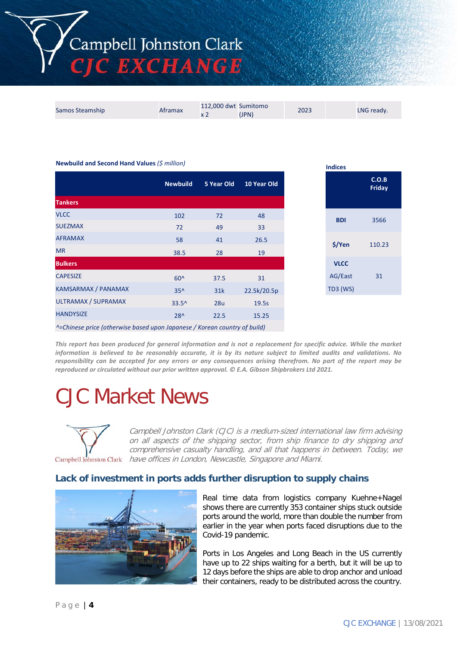Campbell Johnston Clark **TJC EXCHANGE** 

| 112,000 dwt Sumitomo<br>2023<br>Samos Steamship<br>Aframax<br>(JPN) | LNG ready. |
|---------------------------------------------------------------------|------------|
|---------------------------------------------------------------------|------------|

#### **Newbuild and Second Hand Values (\$ million)**

|                                                                           | <b>Newbuild</b> | 5 Year Old | 10 Year Old |
|---------------------------------------------------------------------------|-----------------|------------|-------------|
| <b>Tankers</b>                                                            |                 |            |             |
| <b>VLCC</b>                                                               | 102             | 72         | 48          |
| <b>SUEZMAX</b>                                                            | 72              | 49         | 33          |
| <b>AFRAMAX</b>                                                            | 58              | 41         | 26.5        |
| <b>MR</b>                                                                 | 38.5            | 28         | 19          |
| <b>Bulkers</b>                                                            |                 |            |             |
| <b>CAPESIZE</b>                                                           | $60^$           | 37.5       | 31          |
| KAMSARMAX / PANAMAX                                                       | $35^$           | 31k        | 22.5k/20.5p |
| <b>ULTRAMAX / SUPRAMAX</b>                                                | $33.5^$         | 28u        | 19.5s       |
| <b>HANDYSIZE</b>                                                          | $28^$           | 22.5       | 15.25       |
| ^=Chinese price (otherwise based upon Japanese / Korean country of build) |                 |            |             |

| <b>Indices</b>                            |                 |
|-------------------------------------------|-----------------|
|                                           | C.O.B<br>Friday |
| BDI                                       | 3566            |
| \$/Yen                                    | 110.23          |
| <b>VLCC</b><br>AG/East<br><b>TD3 (WS)</b> | 31              |

*This report has been produced for general information and is not a replacement for specific advice. While the market information is believed to be reasonably accurate, it is by its nature subject to limited audits and validations. No responsibility can be accepted for any errors or any consequences arising therefrom. No part of the report may be reproduced or circulated without our prior written approval. © E.A. Gibson Shipbrokers Ltd 2021.*

# CJC Market News



Campbell Johnston Clark (CJC) is a medium-sized international law firm advising on all aspects of the shipping sector, from ship finance to dry shipping and comprehensive casualty handling, and all that happens in between. Today, we Campbell Johnston Clark have offices in London, Newcastle, Singapore and Miami.

#### **Lack of investment in ports adds further disruption to supply chains**



Real time data from logistics company Kuehne+Nagel shows there are currently 353 container ships stuck outside ports around the world, more than double the number from earlier in the year when ports faced disruptions due to the Covid-19 pandemic.

Ports in Los Angeles and Long Beach in the US currently have up to 22 ships waiting for a berth, but it will be up to 12 days before the ships are able to drop anchor and unload their containers, ready to be distributed across the country.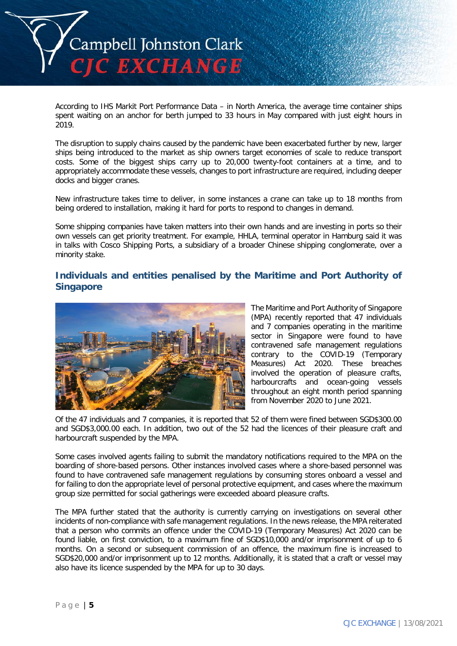

According to IHS Markit Port Performance Data – in North America, the average time container ships spent waiting on an anchor for berth jumped to 33 hours in May compared with just eight hours in 2019.

The disruption to supply chains caused by the pandemic have been exacerbated further by new, larger ships being introduced to the market as ship owners target economies of scale to reduce transport costs. Some of the biggest ships carry up to 20,000 twenty-foot containers at a time, and to appropriately accommodate these vessels, changes to port infrastructure are required, including deeper docks and bigger cranes.

New infrastructure takes time to deliver, in some instances a crane can take up to 18 months from being ordered to installation, making it hard for ports to respond to changes in demand.

Some shipping companies have taken matters into their own hands and are investing in ports so their own vessels can get priority treatment. For example, HHLA, terminal operator in Hamburg said it was in talks with Cosco Shipping Ports, a subsidiary of a broader Chinese shipping conglomerate, over a minority stake.

## **Individuals and entities penalised by the Maritime and Port Authority of Singapore**



The Maritime and Port Authority of Singapore (MPA) recently reported that 47 individuals and 7 companies operating in the maritime sector in Singapore were found to have contravened safe management regulations contrary to the COVID-19 (Temporary Measures) Act 2020. These breaches involved the operation of pleasure crafts, harbourcrafts and ocean-going vessels throughout an eight month period spanning from November 2020 to June 2021.

Of the 47 individuals and 7 companies, it is reported that 52 of them were fined between SGD\$300.00 and SGD\$3,000.00 each. In addition, two out of the 52 had the licences of their pleasure craft and harbourcraft suspended by the MPA.

Some cases involved agents failing to submit the mandatory notifications required to the MPA on the boarding of shore-based persons. Other instances involved cases where a shore-based personnel was found to have contravened safe management regulations by consuming stores onboard a vessel and for failing to don the appropriate level of personal protective equipment, and cases where the maximum group size permitted for social gatherings were exceeded aboard pleasure crafts.

The MPA further stated that the authority is currently carrying on investigations on several other incidents of non-compliance with safe management regulations. In the news release, the MPA reiterated that a person who commits an offence under the COVID-19 (Temporary Measures) Act 2020 can be found liable, on first conviction, to a maximum fine of SGD\$10,000 and/or imprisonment of up to 6 months. On a second or subsequent commission of an offence, the maximum fine is increased to SGD\$20,000 and/or imprisonment up to 12 months. Additionally, it is stated that a craft or vessel may also have its licence suspended by the MPA for up to 30 days.